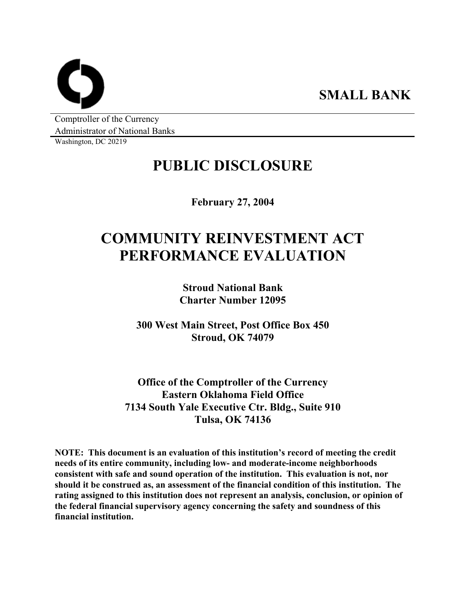**SMALL BANK** 

Comptroller of the Currency Administrator of National Banks

Washington, DC 20219

# **PUBLIC DISCLOSURE**

**February 27, 2004** 

# **COMMUNITY REINVESTMENT ACT PERFORMANCE EVALUATION**

**Stroud National Bank Charter Number 12095** 

**300 West Main Street, Post Office Box 450 Stroud, OK 74079** 

**Office of the Comptroller of the Currency Eastern Oklahoma Field Office 7134 South Yale Executive Ctr. Bldg., Suite 910 Tulsa, OK 74136** 

**NOTE: This document is an evaluation of this institution's record of meeting the credit needs of its entire community, including low- and moderate-income neighborhoods consistent with safe and sound operation of the institution. This evaluation is not, nor should it be construed as, an assessment of the financial condition of this institution. The rating assigned to this institution does not represent an analysis, conclusion, or opinion of the federal financial supervisory agency concerning the safety and soundness of this financial institution.**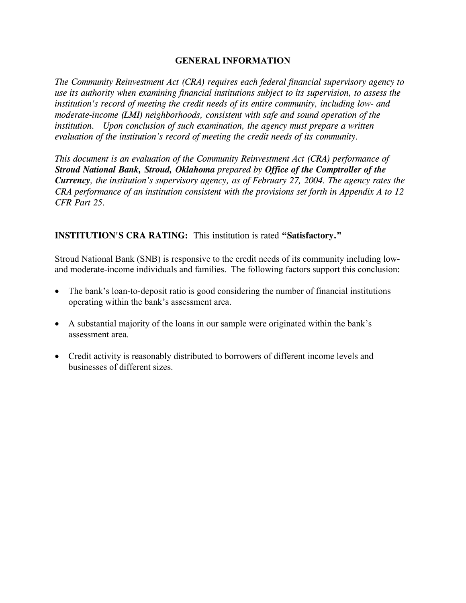#### **GENERAL INFORMATION**

*The Community Reinvestment Act (CRA) requires each federal financial supervisory agency to use its authority when examining financial institutions subject to its supervision, to assess the institution's record of meeting the credit needs of its entire community, including low- and moderate-income (LMI) neighborhoods, consistent with safe and sound operation of the institution. Upon conclusion of such examination, the agency must prepare a written evaluation of the institution's record of meeting the credit needs of its community.* 

*This document is an evaluation of the Community Reinvestment Act (CRA) performance of Stroud National Bank, Stroud, Oklahoma prepared by Office of the Comptroller of the Currency, the institution's supervisory agency, as of February 27, 2004. The agency rates the CRA performance of an institution consistent with the provisions set forth in Appendix A to 12 CFR Part 25.* 

# **INSTITUTION'S CRA RATING:** This institution is rated **"Satisfactory."**

Stroud National Bank (SNB) is responsive to the credit needs of its community including lowand moderate-income individuals and families. The following factors support this conclusion:

- The bank's loan-to-deposit ratio is good considering the number of financial institutions operating within the bank's assessment area.
- A substantial majority of the loans in our sample were originated within the bank's assessment area.
- Credit activity is reasonably distributed to borrowers of different income levels and businesses of different sizes.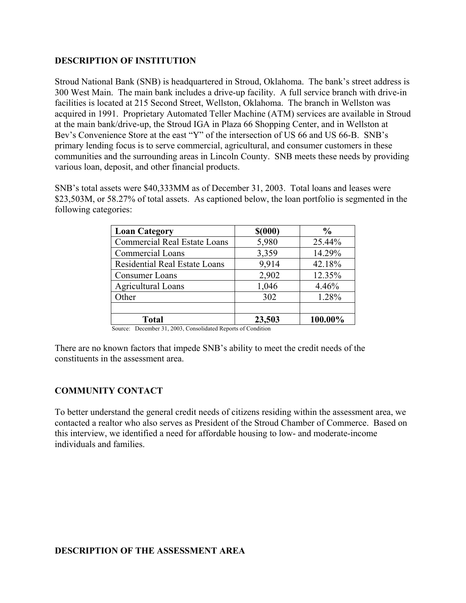#### **DESCRIPTION OF INSTITUTION**

Stroud National Bank (SNB) is headquartered in Stroud, Oklahoma. The bank's street address is 300 West Main. The main bank includes a drive-up facility. A full service branch with drive-in facilities is located at 215 Second Street, Wellston, Oklahoma. The branch in Wellston was acquired in 1991. Proprietary Automated Teller Machine (ATM) services are available in Stroud at the main bank/drive-up, the Stroud IGA in Plaza 66 Shopping Center, and in Wellston at Bev's Convenience Store at the east "Y" of the intersection of US 66 and US 66-B. SNB's primary lending focus is to serve commercial, agricultural, and consumer customers in these communities and the surrounding areas in Lincoln County. SNB meets these needs by providing various loan, deposit, and other financial products.

SNB's total assets were \$40,333MM as of December 31, 2003. Total loans and leases were \$23,503M, or 58.27% of total assets. As captioned below, the loan portfolio is segmented in the following categories:

| <b>Loan Category</b>                 | \$(000) | $\frac{0}{0}$ |
|--------------------------------------|---------|---------------|
| <b>Commercial Real Estate Loans</b>  | 5,980   | 25.44%        |
| Commercial Loans                     | 3,359   | 14.29%        |
| <b>Residential Real Estate Loans</b> | 9,914   | 42.18%        |
| Consumer Loans                       | 2,902   | 12.35%        |
| <b>Agricultural Loans</b>            | 1,046   | 4.46%         |
| Other                                | 302     | 1.28%         |
|                                      |         |               |
| <b>Total</b>                         | 23,503  | 100.00%       |

**The Source:** December 31, 2003, Consolidated Reports of Condition

There are no known factors that impede SNB's ability to meet the credit needs of the constituents in the assessment area.

# **COMMUNITY CONTACT**

To better understand the general credit needs of citizens residing within the assessment area, we contacted a realtor who also serves as President of the Stroud Chamber of Commerce. Based on this interview, we identified a need for affordable housing to low- and moderate-income individuals and families.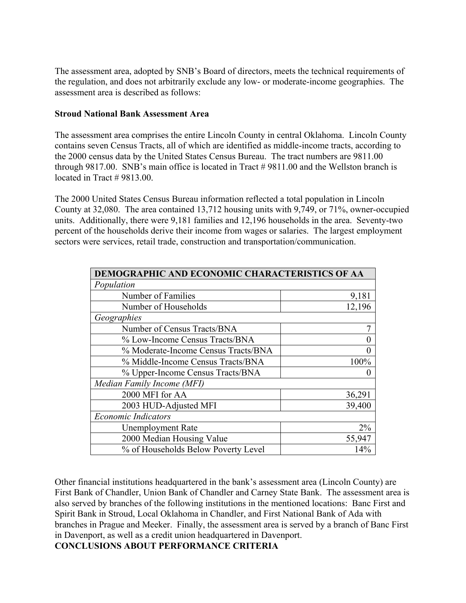The assessment area, adopted by SNB's Board of directors, meets the technical requirements of the regulation, and does not arbitrarily exclude any low- or moderate-income geographies. The assessment area is described as follows:

# **Stroud National Bank Assessment Area**

The assessment area comprises the entire Lincoln County in central Oklahoma. Lincoln County contains seven Census Tracts, all of which are identified as middle-income tracts, according to the 2000 census data by the United States Census Bureau. The tract numbers are 9811.00 through 9817.00. SNB's main office is located in Tract # 9811.00 and the Wellston branch is located in Tract # 9813.00.

The 2000 United States Census Bureau information reflected a total population in Lincoln County at 32,080. The area contained 13,712 housing units with 9,749, or 71%, owner-occupied units. Additionally, there were 9,181 families and 12,196 households in the area. Seventy-two percent of the households derive their income from wages or salaries. The largest employment sectors were services, retail trade, construction and transportation/communication.

| DEMOGRAPHIC AND ECONOMIC CHARACTERISTICS OF AA |              |  |  |  |
|------------------------------------------------|--------------|--|--|--|
| Population                                     |              |  |  |  |
| Number of Families                             | 9,181        |  |  |  |
| Number of Households                           | 12,196       |  |  |  |
| Geographies                                    |              |  |  |  |
| Number of Census Tracts/BNA                    |              |  |  |  |
| % Low-Income Census Tracts/BNA                 |              |  |  |  |
| % Moderate-Income Census Tracts/BNA            |              |  |  |  |
| % Middle-Income Census Tracts/BNA              | 100%         |  |  |  |
| % Upper-Income Census Tracts/BNA               | $\mathbf{0}$ |  |  |  |
| Median Family Income (MFI)                     |              |  |  |  |
| 2000 MFI for AA                                | 36,291       |  |  |  |
| 2003 HUD-Adjusted MFI                          | 39,400       |  |  |  |
| <b>Economic Indicators</b>                     |              |  |  |  |
| <b>Unemployment Rate</b>                       | 2%           |  |  |  |
| 2000 Median Housing Value                      | 55,947       |  |  |  |
| % of Households Below Poverty Level<br>14%     |              |  |  |  |

Other financial institutions headquartered in the bank's assessment area (Lincoln County) are First Bank of Chandler, Union Bank of Chandler and Carney State Bank. The assessment area is also served by branches of the following institutions in the mentioned locations: Banc First and Spirit Bank in Stroud, Local Oklahoma in Chandler, and First National Bank of Ada with branches in Prague and Meeker. Finally, the assessment area is served by a branch of Banc First in Davenport, as well as a credit union headquartered in Davenport.

**CONCLUSIONS ABOUT PERFORMANCE CRITERIA**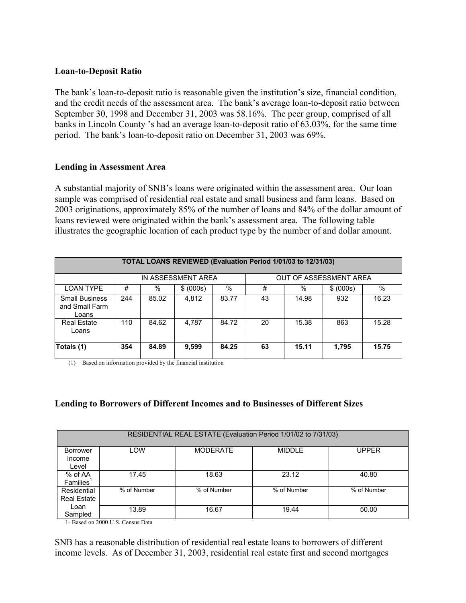#### **Loan-to-Deposit Ratio**

The bank's loan-to-deposit ratio is reasonable given the institution's size, financial condition, and the credit needs of the assessment area. The bank's average loan-to-deposit ratio between September 30, 1998 and December 31, 2003 was 58.16%. The peer group, comprised of all banks in Lincoln County 's had an average loan-to-deposit ratio of 63.03%, for the same time period. The bank's loan-to-deposit ratio on December 31, 2003 was 69%.

#### **Lending in Assessment Area**

A substantial majority of SNB's loans were originated within the assessment area. Our loan sample was comprised of residential real estate and small business and farm loans. Based on 2003 originations, approximately 85% of the number of loans and 84% of the dollar amount of loans reviewed were originated within the bank's assessment area. The following table illustrates the geographic location of each product type by the number of and dollar amount.

| TOTAL LOANS REVIEWED (Evaluation Period 1/01/03 to 12/31/03) |                    |       |           |       |                        |       |           |       |
|--------------------------------------------------------------|--------------------|-------|-----------|-------|------------------------|-------|-----------|-------|
|                                                              | IN ASSESSMENT AREA |       |           |       | OUT OF ASSESSMENT AREA |       |           |       |
| <b>LOAN TYPE</b>                                             | #                  | %     | \$ (000s) | %     | #                      | $\%$  | \$ (000s) | $\%$  |
| <b>Small Business</b><br>and Small Farm<br>Loans             | 244                | 85.02 | 4,812     | 83.77 | 43                     | 14.98 | 932       | 16.23 |
| <b>Real Estate</b><br>Loans                                  | 110                | 84.62 | 4,787     | 84.72 | 20                     | 15.38 | 863       | 15.28 |
| Totals (1)                                                   | 354                | 84.89 | 9,599     | 84.25 | 63                     | 15.11 | 1,795     | 15.75 |

(1) Based on information provided by the financial institution

# **Lending to Borrowers of Different Incomes and to Businesses of Different Sizes**

| RESIDENTIAL REAL ESTATE (Evaluation Period 1/01/02 to 7/31/03) |             |                 |               |             |
|----------------------------------------------------------------|-------------|-----------------|---------------|-------------|
| <b>Borrower</b><br>Income<br>Level                             | LOW         | <b>MODERATE</b> | <b>MIDDLE</b> | UPPER       |
| % of AA<br>$F$ amilies <sup>1</sup>                            | 17.45       | 18.63           | 23.12         | 40.80       |
| Residential<br><b>Real Estate</b>                              | % of Number | % of Number     | % of Number   | % of Number |
| Loan<br>Sampled                                                | 13.89       | 16.67           | 19.44         | 50.00       |

1- Based on 2000 U.S. Census Data

SNB has a reasonable distribution of residential real estate loans to borrowers of different income levels. As of December 31, 2003, residential real estate first and second mortgages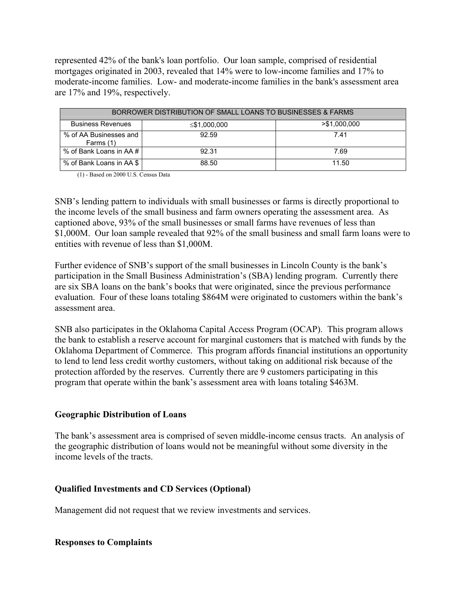represented 42% of the bank's loan portfolio. Our loan sample, comprised of residential mortgages originated in 2003, revealed that 14% were to low-income families and 17% to moderate-income families. Low- and moderate-income families in the bank's assessment area are 17% and 19%, respectively.

| BORROWER DISTRIBUTION OF SMALL LOANS TO BUSINESSES & FARMS |              |                 |  |
|------------------------------------------------------------|--------------|-----------------|--|
| <b>Business Revenues</b>                                   | ≤\$1,000,000 | $>$ \$1,000,000 |  |
| % of AA Businesses and<br>Farms (1)                        | 92.59        | 741             |  |
| % of Bank Loans in AA#                                     | 92.31        | 7.69            |  |
| % of Bank Loans in AA \$                                   | 88.50        | 11.50           |  |

(1) - Based on 2000 U.S. Census Data

SNB's lending pattern to individuals with small businesses or farms is directly proportional to the income levels of the small business and farm owners operating the assessment area. As captioned above, 93% of the small businesses or small farms have revenues of less than \$1,000M. Our loan sample revealed that 92% of the small business and small farm loans were to entities with revenue of less than \$1,000M.

Further evidence of SNB's support of the small businesses in Lincoln County is the bank's participation in the Small Business Administration's (SBA) lending program. Currently there are six SBA loans on the bank's books that were originated, since the previous performance evaluation. Four of these loans totaling \$864M were originated to customers within the bank's assessment area.

SNB also participates in the Oklahoma Capital Access Program (OCAP). This program allows the bank to establish a reserve account for marginal customers that is matched with funds by the Oklahoma Department of Commerce. This program affords financial institutions an opportunity to lend to lend less credit worthy customers, without taking on additional risk because of the protection afforded by the reserves. Currently there are 9 customers participating in this program that operate within the bank's assessment area with loans totaling \$463M.

#### **Geographic Distribution of Loans**

The bank's assessment area is comprised of seven middle-income census tracts. An analysis of the geographic distribution of loans would not be meaningful without some diversity in the income levels of the tracts.

#### **Qualified Investments and CD Services (Optional)**

Management did not request that we review investments and services.

#### **Responses to Complaints**